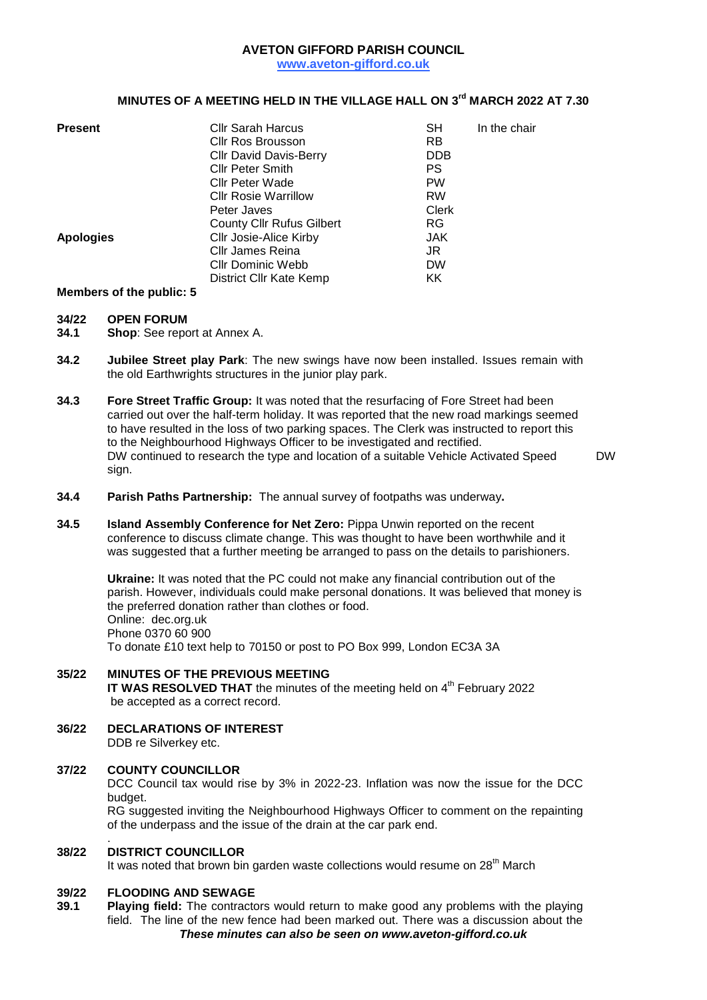## **AVETON GIFFORD PARISH COUNCIL**

**www.aveton-gifford.co.uk**

## **MINUTES OF A MEETING HELD IN THE VILLAGE HALL ON 3 rd MARCH 2022 AT 7.30**

| <b>Present</b>   | <b>Cllr Sarah Harcus</b>         | <b>SH</b>    | In the chair |
|------------------|----------------------------------|--------------|--------------|
|                  | <b>Cllr Ros Brousson</b>         | <b>RB</b>    |              |
|                  | <b>Cllr David Davis-Berry</b>    | <b>DDB</b>   |              |
|                  | <b>Cllr Peter Smith</b>          | PS           |              |
|                  | <b>Cllr Peter Wade</b>           | <b>PW</b>    |              |
|                  | <b>CIIr Rosie Warrillow</b>      | <b>RW</b>    |              |
|                  | Peter Javes                      | <b>Clerk</b> |              |
|                  | <b>County Cllr Rufus Gilbert</b> | <b>RG</b>    |              |
| <b>Apologies</b> | Cllr Josie-Alice Kirby           | JAK.         |              |
|                  | Cllr James Reina                 | JR           |              |
|                  | <b>CIIr Dominic Webb</b>         | <b>DW</b>    |              |
|                  | District Cllr Kate Kemp          | KK           |              |

**Members of the public: 5**

# **34/22 OPEN FORUM**

**Shop:** See report at Annex A.

- **34.2 Jubilee Street play Park**: The new swings have now been installed. Issues remain with the old Earthwrights structures in the junior play park.
- **34.3 Fore Street Traffic Group:** It was noted that the resurfacing of Fore Street had been carried out over the half-term holiday. It was reported that the new road markings seemed to have resulted in the loss of two parking spaces. The Clerk was instructed to report this to the Neighbourhood Highways Officer to be investigated and rectified. DW continued to research the type and location of a suitable Vehicle Activated Speed sign.

DW

- **34.4 Parish Paths Partnership:** The annual survey of footpaths was underway**.**
- **34.5 Island Assembly Conference for Net Zero:** Pippa Unwin reported on the recent conference to discuss climate change. This was thought to have been worthwhile and it was suggested that a further meeting be arranged to pass on the details to parishioners.

**Ukraine:** It was noted that the PC could not make any financial contribution out of the parish. However, individuals could make personal donations. It was believed that money is the preferred donation rather than clothes or food. Online: dec.org.uk Phone 0370 60 900 To donate £10 text help to 70150 or post to PO Box 999, London EC3A 3A

#### **35/22 MINUTES OF THE PREVIOUS MEETING**

IT WAS RESOLVED THAT the minutes of the meeting held on 4<sup>th</sup> February 2022 be accepted as a correct record.

**36/22 DECLARATIONS OF INTEREST** DDB re Silverkey etc.

## **37/22 COUNTY COUNCILLOR**

DCC Council tax would rise by 3% in 2022-23. Inflation was now the issue for the DCC budget.

RG suggested inviting the Neighbourhood Highways Officer to comment on the repainting of the underpass and the issue of the drain at the car park end.

#### . **38/22 DISTRICT COUNCILLOR**

It was noted that brown bin garden waste collections would resume on 28<sup>th</sup> March

### **39/22 FLOODING AND SEWAGE**

*These minutes can also be seen on www.aveton-gifford.co.uk* **39.1 Playing field:** The contractors would return to make good any problems with the playing field. The line of the new fence had been marked out. There was a discussion about the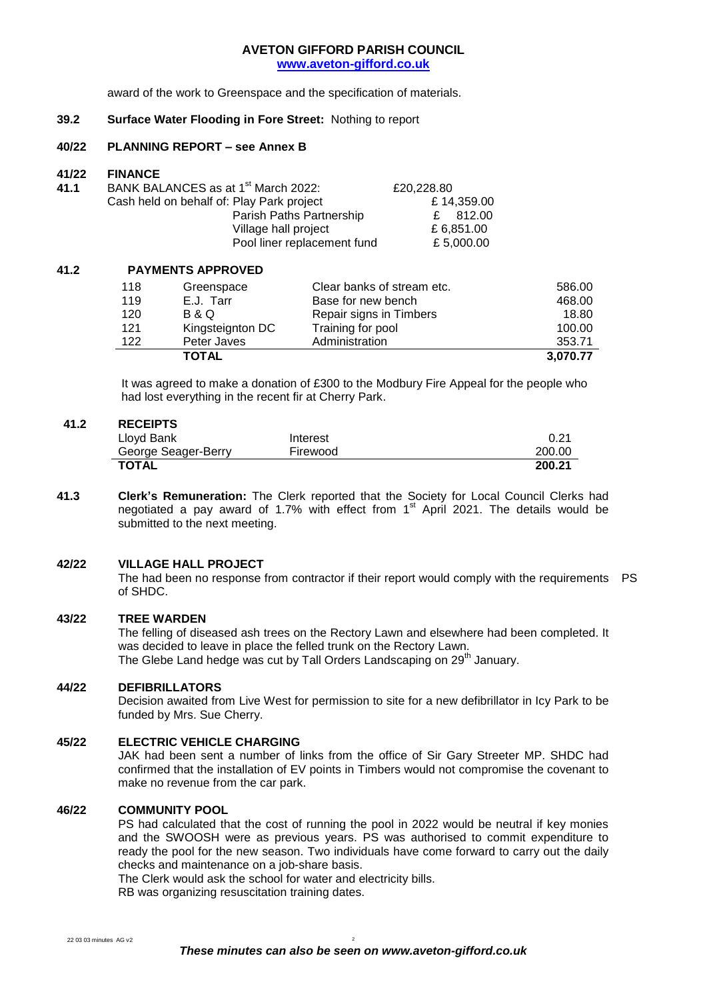#### **AVETON GIFFORD PARISH COUNCIL www.aveton-gifford.co.uk**

award of the work to Greenspace and the specification of materials.

#### **39.2 Surface Water Flooding in Fore Street:** Nothing to report

#### **40/22 PLANNING REPORT – see Annex B**

#### **41/22 FINANCE**

| 41.1 | BANK BALANCES as at 1 <sup>st</sup> March 2022: | £20,228.80 |
|------|-------------------------------------------------|------------|
|      | Cash held on behalf of: Play Park project       | £14,359.00 |
|      | Parish Paths Partnership                        | £ 812.00   |
|      | Village hall project                            | £ 6.851.00 |
|      | Pool liner replacement fund                     | £ 5.000.00 |

#### **41.2 PAYMENTS APPROVED**

| 118 | Greenspace       | Clear banks of stream etc. | 586.00   |
|-----|------------------|----------------------------|----------|
| 119 | E.J. Tarr        | Base for new bench         | 468.00   |
| 120 | B & Q            | Repair signs in Timbers    | 18.80    |
| 121 | Kingsteignton DC | Training for pool          | 100.00   |
| 122 | Peter Javes      | Administration             | 353.71   |
|     | <b>TOTAL</b>     |                            | 3.070.77 |

It was agreed to make a donation of £300 to the Modbury Fire Appeal for the people who had lost everything in the recent fir at Cherry Park.

#### **41.2 RECEIPTS**

| Lloyd Bank          | Interest | $0.2^{\circ}$ |
|---------------------|----------|---------------|
| George Seager-Berry | Firewood | 200.00        |
| TOTAL               |          | 200.21        |

**41.3 Clerk's Remuneration:** The Clerk reported that the Society for Local Council Clerks had negotiated a pay award of 1.7% with effect from  $1<sup>st</sup>$  April 2021. The details would be submitted to the next meeting.

#### **42/22 VILLAGE HALL PROJECT**

The had been no response from contractor if their report would comply with the requirements PS of SHDC.

#### **43/22 TREE WARDEN**

The felling of diseased ash trees on the Rectory Lawn and elsewhere had been completed. It was decided to leave in place the felled trunk on the Rectory Lawn. The Glebe Land hedge was cut by Tall Orders Landscaping on 29<sup>th</sup> January.

#### **44/22 DEFIBRILLATORS**

Decision awaited from Live West for permission to site for a new defibrillator in Icy Park to be funded by Mrs. Sue Cherry.

#### **45/22 ELECTRIC VEHICLE CHARGING**

JAK had been sent a number of links from the office of Sir Gary Streeter MP. SHDC had confirmed that the installation of EV points in Timbers would not compromise the covenant to make no revenue from the car park.

#### **46/22 COMMUNITY POOL**

PS had calculated that the cost of running the pool in 2022 would be neutral if key monies and the SWOOSH were as previous years. PS was authorised to commit expenditure to ready the pool for the new season. Two individuals have come forward to carry out the daily checks and maintenance on a job-share basis.

The Clerk would ask the school for water and electricity bills.

RB was organizing resuscitation training dates.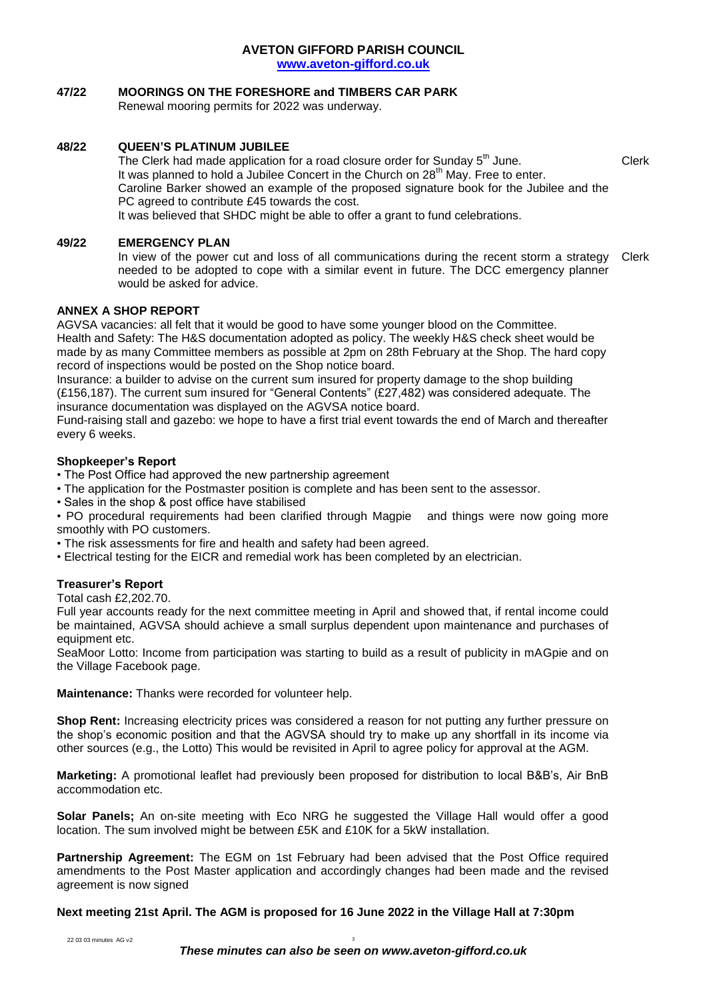#### **AVETON GIFFORD PARISH COUNCIL www.aveton-gifford.co.uk**

## **47/22 MOORINGS ON THE FORESHORE and TIMBERS CAR PARK**

Renewal mooring permits for 2022 was underway.

## **48/22 QUEEN'S PLATINUM JUBILEE**

The Clerk had made application for a road closure order for Sunday  $5<sup>th</sup>$  June.  $\hspace{1.5cm}$  Clerk It was planned to hold a Jubilee Concert in the Church on 28<sup>th</sup> May. Free to enter. Caroline Barker showed an example of the proposed signature book for the Jubilee and the PC agreed to contribute £45 towards the cost.

It was believed that SHDC might be able to offer a grant to fund celebrations.

## **49/22 EMERGENCY PLAN**

In view of the power cut and loss of all communications during the recent storm a strategy needed to be adopted to cope with a similar event in future. The DCC emergency planner would be asked for advice. Clerk

## **ANNEX A SHOP REPORT**

AGVSA vacancies: all felt that it would be good to have some younger blood on the Committee. Health and Safety: The H&S documentation adopted as policy. The weekly H&S check sheet would be made by as many Committee members as possible at 2pm on 28th February at the Shop. The hard copy record of inspections would be posted on the Shop notice board.

Insurance: a builder to advise on the current sum insured for property damage to the shop building (£156,187). The current sum insured for "General Contents" (£27,482) was considered adequate. The insurance documentation was displayed on the AGVSA notice board.

Fund-raising stall and gazebo: we hope to have a first trial event towards the end of March and thereafter every 6 weeks.

## **Shopkeeper's Report**

• The Post Office had approved the new partnership agreement

- The application for the Postmaster position is complete and has been sent to the assessor.
- Sales in the shop & post office have stabilised

• PO procedural requirements had been clarified through Magpie and things were now going more smoothly with PO customers.

- The risk assessments for fire and health and safety had been agreed.
- Electrical testing for the EICR and remedial work has been completed by an electrician.

## **Treasurer's Report**

Total cash £2,202.70.

Full year accounts ready for the next committee meeting in April and showed that, if rental income could be maintained, AGVSA should achieve a small surplus dependent upon maintenance and purchases of equipment etc.

SeaMoor Lotto: Income from participation was starting to build as a result of publicity in mAGpie and on the Village Facebook page.

**Maintenance:** Thanks were recorded for volunteer help.

**Shop Rent:** Increasing electricity prices was considered a reason for not putting any further pressure on the shop's economic position and that the AGVSA should try to make up any shortfall in its income via other sources (e.g., the Lotto) This would be revisited in April to agree policy for approval at the AGM.

**Marketing:** A promotional leaflet had previously been proposed for distribution to local B&B's, Air BnB accommodation etc.

**Solar Panels;** An on-site meeting with Eco NRG he suggested the Village Hall would offer a good location. The sum involved might be between £5K and £10K for a 5kW installation.

**Partnership Agreement:** The EGM on 1st February had been advised that the Post Office required amendments to the Post Master application and accordingly changes had been made and the revised agreement is now signed

**Next meeting 21st April. The AGM is proposed for 16 June 2022 in the Village Hall at 7:30pm**